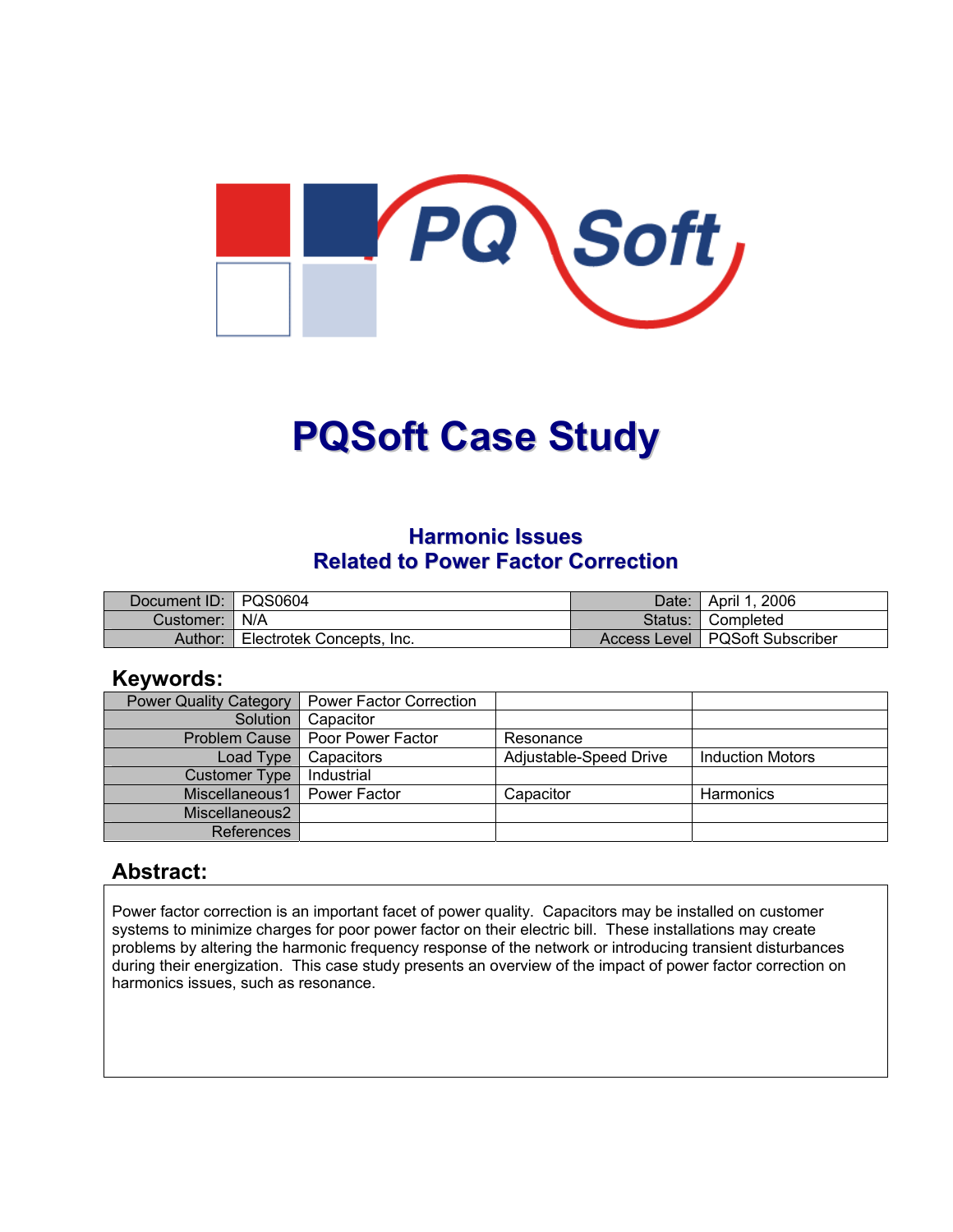

# **PQSoft Case Study**

#### **Harmonic Issues Related to Power Factor Correction**

| Document ID: PQS0604 |                           | Date: I | ¶ April 1, 2006                  |
|----------------------|---------------------------|---------|----------------------------------|
| Customer:   N/A      |                           |         | Status: Completed                |
| Author:              | Electrotek Concepts, Inc. |         | Access Level   PQSoft Subscriber |

#### **Keywords:**

| <b>Power Quality Category</b> | <b>Power Factor Correction</b>    |                        |                         |
|-------------------------------|-----------------------------------|------------------------|-------------------------|
| Solution                      | Capacitor                         |                        |                         |
|                               | Problem Cause   Poor Power Factor | Resonance              |                         |
| Load Type                     | Capacitors                        | Adjustable-Speed Drive | <b>Induction Motors</b> |
| <b>Customer Type</b>          | Industrial                        |                        |                         |
| Miscellaneous1                | Power Factor                      | Capacitor              | <b>Harmonics</b>        |
| Miscellaneous2                |                                   |                        |                         |
| References                    |                                   |                        |                         |

#### **Abstract:**

Power factor correction is an important facet of power quality. Capacitors may be installed on customer systems to minimize charges for poor power factor on their electric bill. These installations may create problems by altering the harmonic frequency response of the network or introducing transient disturbances during their energization. This case study presents an overview of the impact of power factor correction on harmonics issues, such as resonance.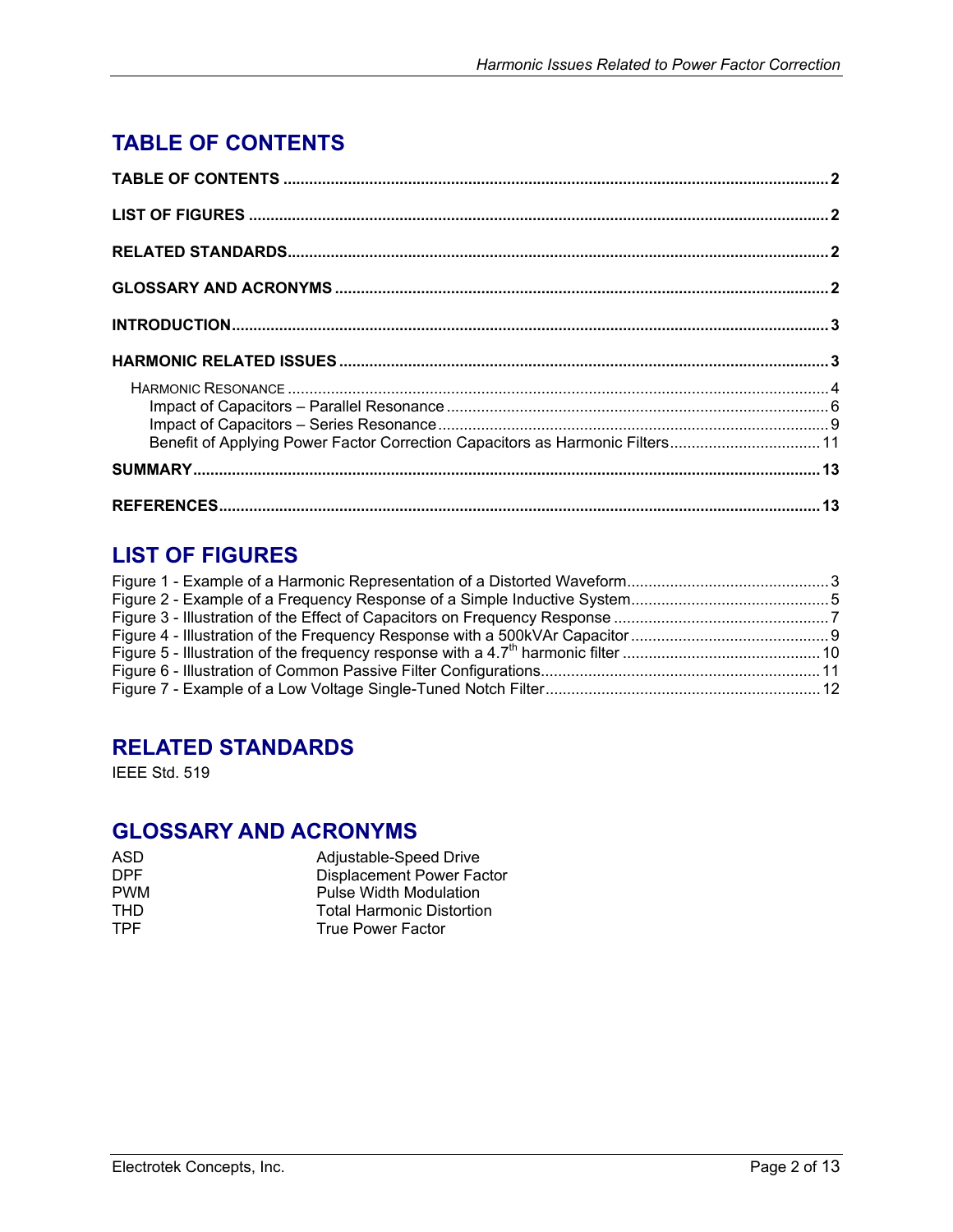# <span id="page-1-0"></span>**TABLE OF CONTENTS**

| Benefit of Applying Power Factor Correction Capacitors as Harmonic Filters 11 |  |
|-------------------------------------------------------------------------------|--|
|                                                                               |  |
|                                                                               |  |

## **LIST OF FIGURES**

## **RELATED STANDARDS**

IEEE Std. 519

## **GLOSSARY AND ACRONYMS**

| ASD        | Adjustable-Speed Drive           |
|------------|----------------------------------|
| DPF.       | <b>Displacement Power Factor</b> |
| <b>PWM</b> | Pulse Width Modulation           |
| THD.       | <b>Total Harmonic Distortion</b> |
| <b>TPF</b> | True Power Factor                |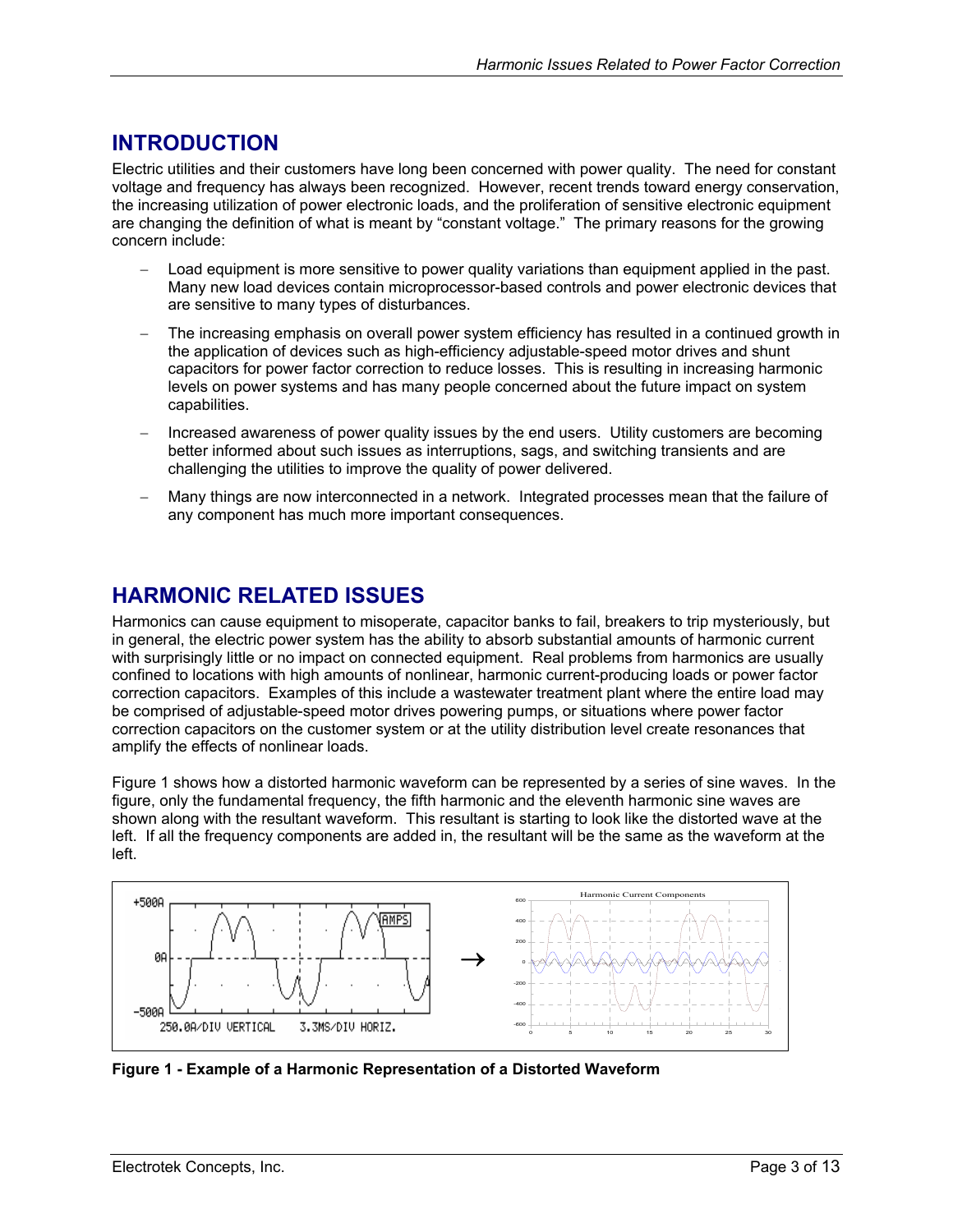### <span id="page-2-0"></span>**INTRODUCTION**

Electric utilities and their customers have long been concerned with power quality. The need for constant voltage and frequency has always been recognized. However, recent trends toward energy conservation, the increasing utilization of power electronic loads, and the proliferation of sensitive electronic equipment are changing the definition of what is meant by "constant voltage." The primary reasons for the growing concern include:

- − Load equipment is more sensitive to power quality variations than equipment applied in the past. Many new load devices contain microprocessor-based controls and power electronic devices that are sensitive to many types of disturbances.
- The increasing emphasis on overall power system efficiency has resulted in a continued growth in the application of devices such as high-efficiency adjustable-speed motor drives and shunt capacitors for power factor correction to reduce losses. This is resulting in increasing harmonic levels on power systems and has many people concerned about the future impact on system capabilities.
- Increased awareness of power quality issues by the end users. Utility customers are becoming better informed about such issues as interruptions, sags, and switching transients and are challenging the utilities to improve the quality of power delivered.
- Many things are now interconnected in a network. Integrated processes mean that the failure of any component has much more important consequences.

### **HARMONIC RELATED ISSUES**

Harmonics can cause equipment to misoperate, capacitor banks to fail, breakers to trip mysteriously, but in general, the electric power system has the ability to absorb substantial amounts of harmonic current with surprisingly little or no impact on connected equipment. Real problems from harmonics are usually confined to locations with high amounts of nonlinear, harmonic current-producing loads or power factor correction capacitors. Examples of this include a wastewater treatment plant where the entire load may be comprised of adjustable-speed motor drives powering pumps, or situations where power factor correction capacitors on the customer system or at the utility distribution level create resonances that amplify the effects of nonlinear loads.

[Figure 1](#page-2-1) shows how a distorted harmonic waveform can be represented by a series of sine waves. In the figure, only the fundamental frequency, the fifth harmonic and the eleventh harmonic sine waves are shown along with the resultant waveform. This resultant is starting to look like the distorted wave at the left. If all the frequency components are added in, the resultant will be the same as the waveform at the left.



<span id="page-2-1"></span>**Figure 1 - Example of a Harmonic Representation of a Distorted Waveform**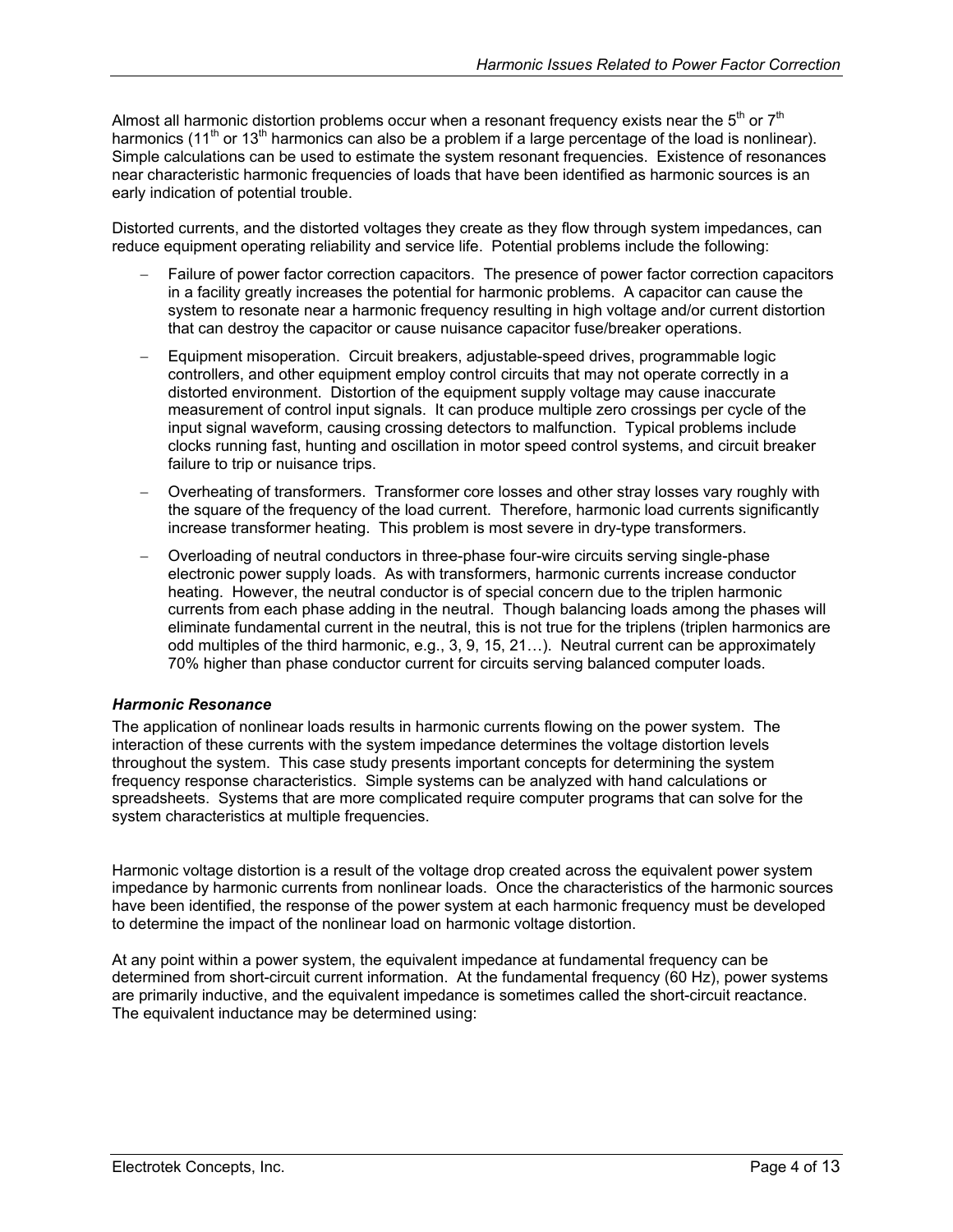<span id="page-3-0"></span>Almost all harmonic distortion problems occur when a resonant frequency exists near the  $5<sup>th</sup>$  or  $7<sup>th</sup>$ harmonics (11<sup>th</sup> or 13<sup>th</sup> harmonics can also be a problem if a large percentage of the load is nonlinear). Simple calculations can be used to estimate the system resonant frequencies. Existence of resonances near characteristic harmonic frequencies of loads that have been identified as harmonic sources is an early indication of potential trouble.

Distorted currents, and the distorted voltages they create as they flow through system impedances, can reduce equipment operating reliability and service life. Potential problems include the following:

- Failure of power factor correction capacitors. The presence of power factor correction capacitors in a facility greatly increases the potential for harmonic problems. A capacitor can cause the system to resonate near a harmonic frequency resulting in high voltage and/or current distortion that can destroy the capacitor or cause nuisance capacitor fuse/breaker operations.
- − Equipment misoperation. Circuit breakers, adjustable-speed drives, programmable logic controllers, and other equipment employ control circuits that may not operate correctly in a distorted environment. Distortion of the equipment supply voltage may cause inaccurate measurement of control input signals. It can produce multiple zero crossings per cycle of the input signal waveform, causing crossing detectors to malfunction. Typical problems include clocks running fast, hunting and oscillation in motor speed control systems, and circuit breaker failure to trip or nuisance trips.
- − Overheating of transformers. Transformer core losses and other stray losses vary roughly with the square of the frequency of the load current. Therefore, harmonic load currents significantly increase transformer heating. This problem is most severe in dry-type transformers.
- − Overloading of neutral conductors in three-phase four-wire circuits serving single-phase electronic power supply loads. As with transformers, harmonic currents increase conductor heating. However, the neutral conductor is of special concern due to the triplen harmonic currents from each phase adding in the neutral. Though balancing loads among the phases will eliminate fundamental current in the neutral, this is not true for the triplens (triplen harmonics are odd multiples of the third harmonic, e.g., 3, 9, 15, 21…). Neutral current can be approximately 70% higher than phase conductor current for circuits serving balanced computer loads.

#### *Harmonic Resonance*

The application of nonlinear loads results in harmonic currents flowing on the power system. The interaction of these currents with the system impedance determines the voltage distortion levels throughout the system. This case study presents important concepts for determining the system frequency response characteristics. Simple systems can be analyzed with hand calculations or spreadsheets. Systems that are more complicated require computer programs that can solve for the system characteristics at multiple frequencies.

Harmonic voltage distortion is a result of the voltage drop created across the equivalent power system impedance by harmonic currents from nonlinear loads. Once the characteristics of the harmonic sources have been identified, the response of the power system at each harmonic frequency must be developed to determine the impact of the nonlinear load on harmonic voltage distortion.

At any point within a power system, the equivalent impedance at fundamental frequency can be determined from short-circuit current information. At the fundamental frequency (60 Hz), power systems are primarily inductive, and the equivalent impedance is sometimes called the short-circuit reactance. The equivalent inductance may be determined using: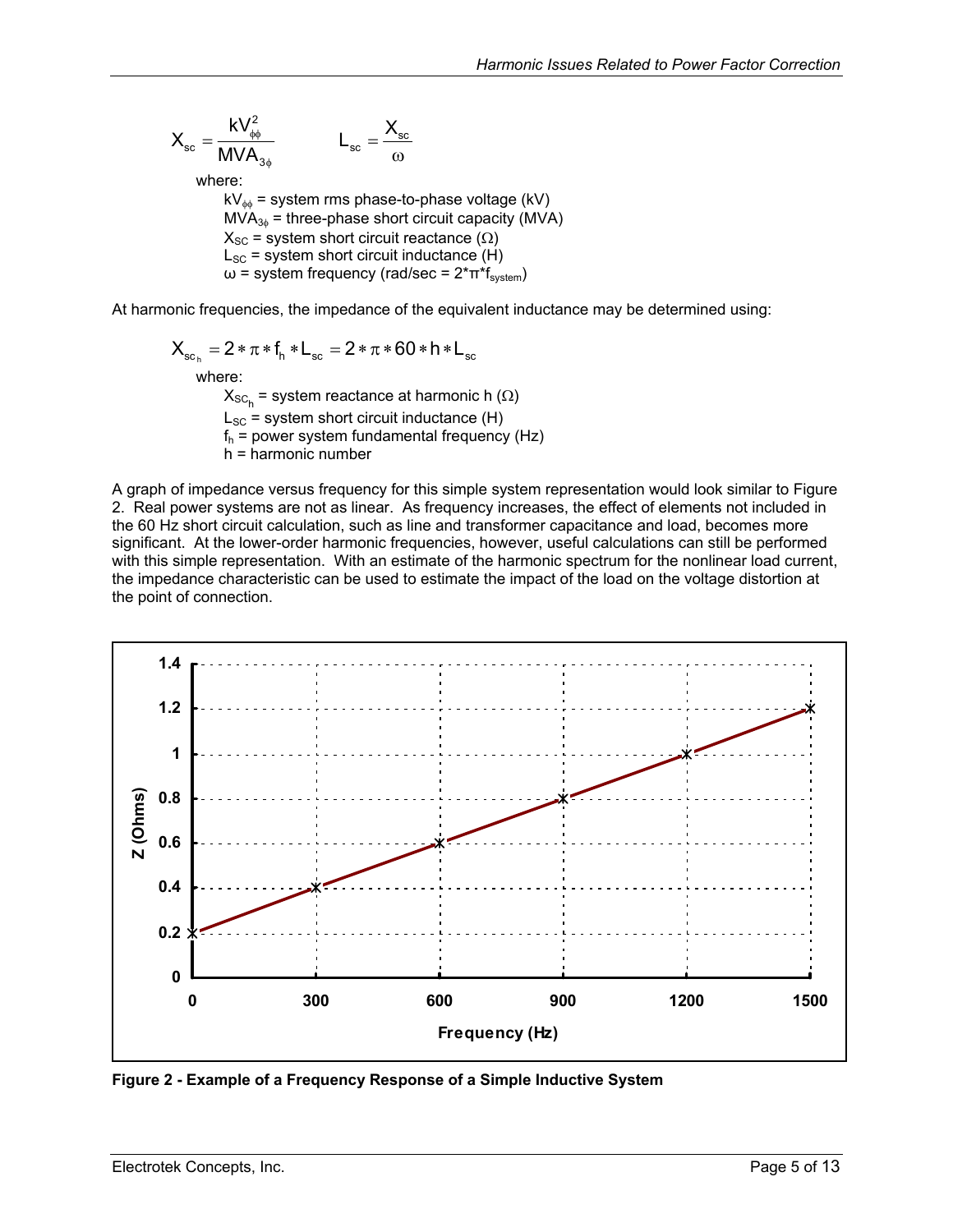<span id="page-4-0"></span>
$$
X_{sc} = \frac{kV_{\phi\phi}^2}{MVA_{3\phi}}
$$
  $L_{sc} = \frac{X_{sc}}{\omega}$   
where:  
 $kV_{\phi\phi} =$  system rms phase-to-phase voltage (kV)  
 $MVA_{3\phi} =$  three-phase short circuit capacity (MVA)  
 $X_{sc} =$  system short circuit reactance (Ω)  
 $L_{sc} =$  system short circuit inductance (H)  
 $\omega =$  system frequency (rad/sec = 2<sup>\*</sup>π<sup>\*</sup>f<sub>system</sub>)

At harmonic frequencies, the impedance of the equivalent inductance may be determined using:

$$
X_{sc_h} = 2 * \pi * f_h * L_{sc} = 2 * \pi * 60 * h * L_{sc}
$$
  
where:  

$$
X_{sc_h} = \text{system reactance at harmonic } h \text{ } (\Omega)
$$

 $\mathsf{X}_{\mathsf{SC}_\mathsf{h}}$  $L_{SC}$  = system short circuit inductance (H)  $f_h$  = power system fundamental frequency (Hz) h = harmonic number

A graph of impedance versus frequency for this simple system representation would look similar to [Figure](#page-4-1)  [2.](#page-4-1) Real power systems are not as linear. As frequency increases, the effect of elements not included in the 60 Hz short circuit calculation, such as line and transformer capacitance and load, becomes more significant. At the lower-order harmonic frequencies, however, useful calculations can still be performed with this simple representation. With an estimate of the harmonic spectrum for the nonlinear load current, the impedance characteristic can be used to estimate the impact of the load on the voltage distortion at the point of connection.

<span id="page-4-1"></span>

**Figure 2 - Example of a Frequency Response of a Simple Inductive System**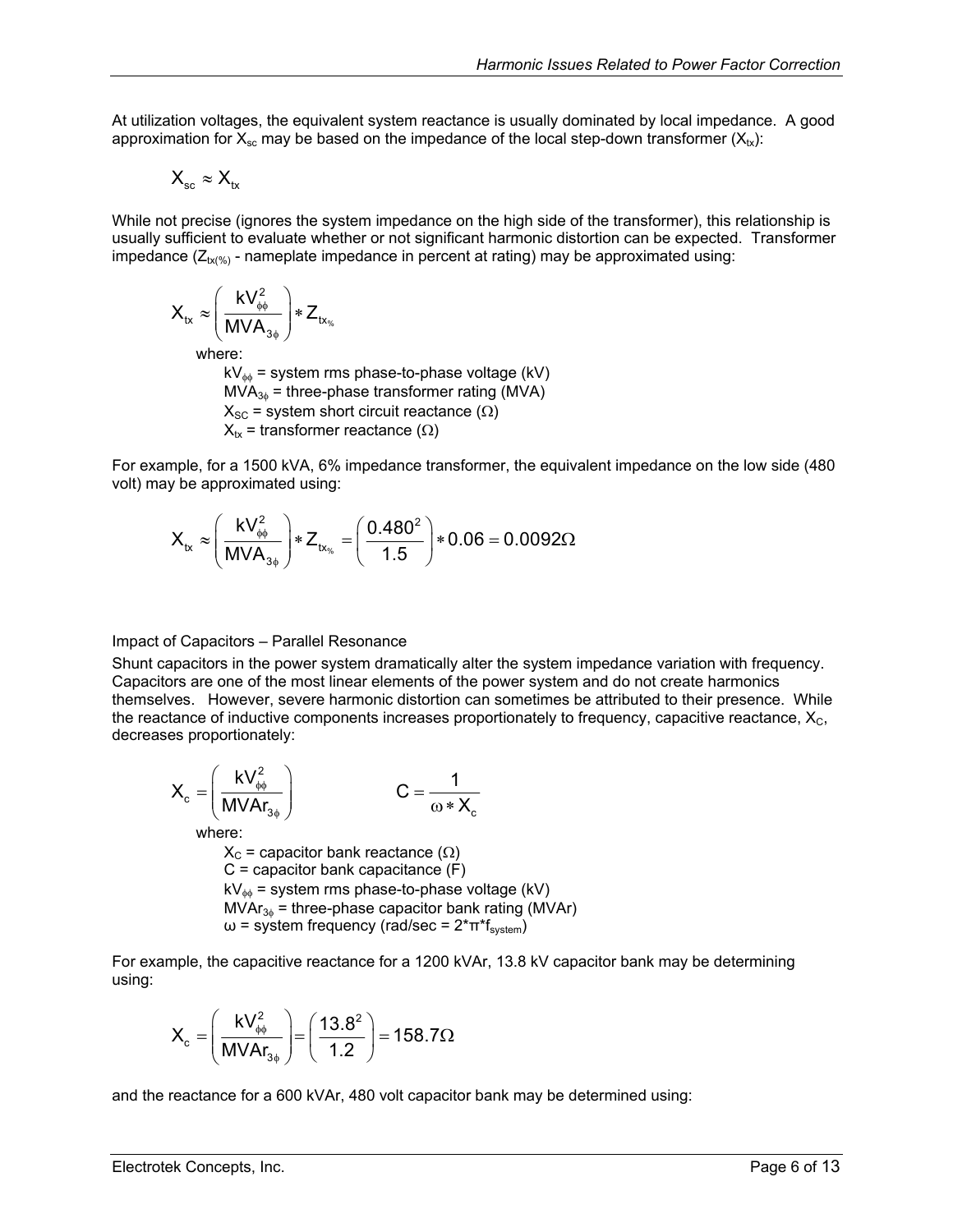<span id="page-5-0"></span>At utilization voltages, the equivalent system reactance is usually dominated by local impedance. A good approximation for  $X_{\rm sc}$  may be based on the impedance of the local step-down transformer  $(X_{\rm tx})$ :

$$
X_{\rm sc} \approx X_{\rm tx}
$$

While not precise (ignores the system impedance on the high side of the transformer), this relationship is usually sufficient to evaluate whether or not significant harmonic distortion can be expected. Transformer impedance  $(Z_{tx(%)}$  - nameplate impedance in percent at rating) may be approximated using:

$$
X_{tx} \approx \left(\frac{kV_{\phi\phi}^2}{MVA_{3\phi}}\right) * Z_{tx_{\%}}
$$

where:

 $kV_{\phi\phi}$  = system rms phase-to-phase voltage (kV)  $MVA_{3\phi}$  = three-phase transformer rating (MVA)  $X_{SC}$  = system short circuit reactance ( $\Omega$ )  $X_{tx}$  = transformer reactance ( $\Omega$ )

For example, for a 1500 kVA, 6% impedance transformer, the equivalent impedance on the low side (480 volt) may be approximated using:

$$
X_{tx} \approx \left(\frac{kV_{\phi\phi}^2}{MVA_{3\phi}}\right) * Z_{tx_{\phi s}} = \left(\frac{0.480^2}{1.5}\right) * 0.06 = 0.0092 \Omega
$$

#### Impact of Capacitors – Parallel Resonance

Shunt capacitors in the power system dramatically alter the system impedance variation with frequency. Capacitors are one of the most linear elements of the power system and do not create harmonics themselves. However, severe harmonic distortion can sometimes be attributed to their presence. While the reactance of inductive components increases proportionately to frequency, capacitive reactance,  $X_c$ , decreases proportionately:

$$
X_c = \left(\frac{kV_{\phi\phi}^2}{MVAr_{3\phi}}\right) \qquad \qquad C = \frac{1}{\omega * X_c}
$$
\nwhere:  
\n
$$
X_c = \text{capacitor bank reactance } (\Omega)
$$
\n
$$
C = \text{capacitor bank capacitance } (F)
$$
\n
$$
kV_{\phi\phi} = \text{system rms phase-to-phase voltage } (kV)
$$
\n
$$
MVAr_{3\phi} = \text{three-phase capacitor bank rating } (MVAr)
$$
\n
$$
\omega = \text{system frequency } (\text{rad/sec} = 2 * \pi * f_{\text{system}})
$$

For example, the capacitive reactance for a 1200 kVAr, 13.8 kV capacitor bank may be determining using:

$$
X_{c} = \left(\frac{kV_{\phi\phi}^{2}}{MVAR_{3\phi}}\right) = \left(\frac{13.8^{2}}{1.2}\right) = 158.7\Omega
$$

and the reactance for a 600 kVAr, 480 volt capacitor bank may be determined using: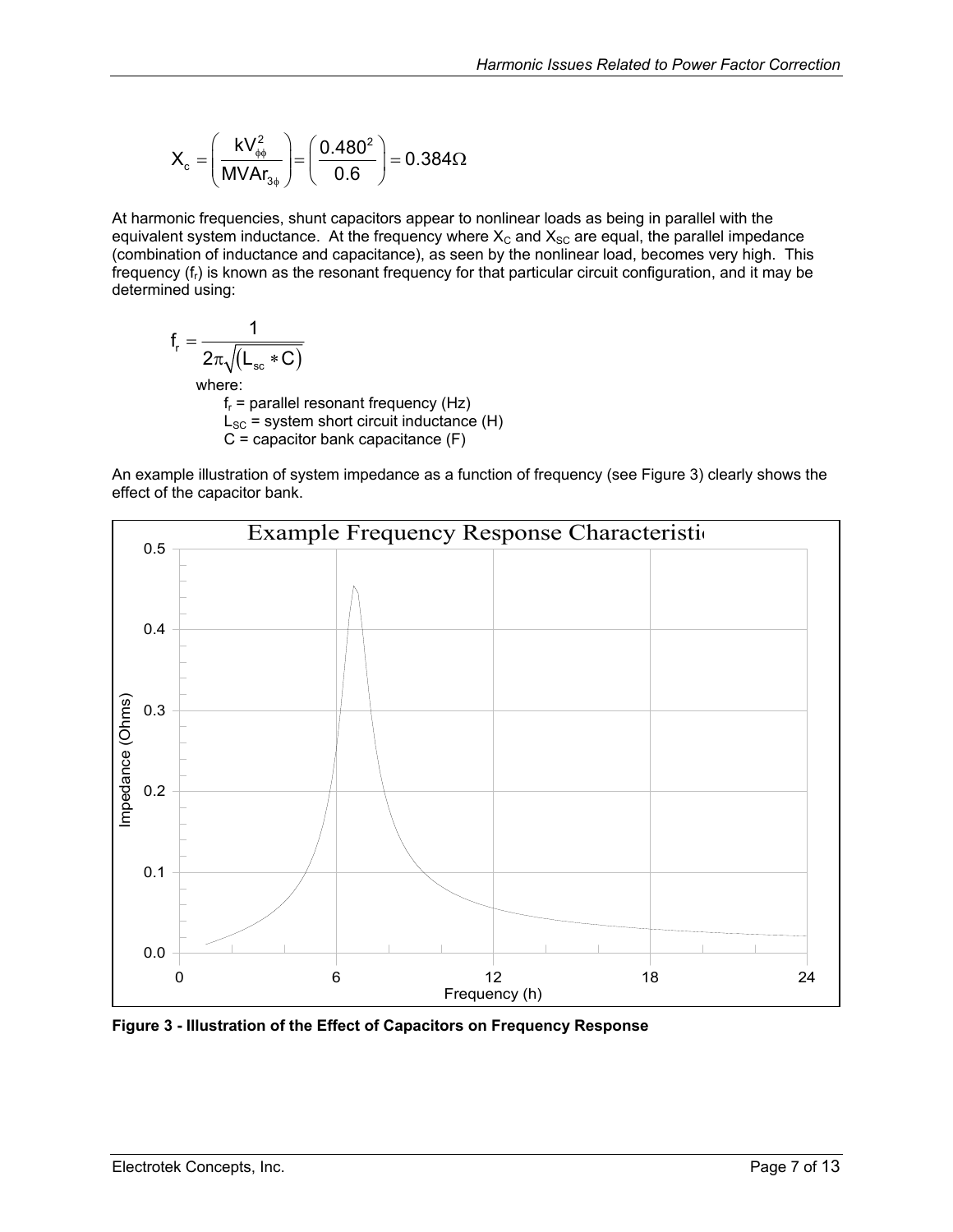<span id="page-6-0"></span>
$$
X_{\rm c}=\left(\frac{kV_{\phi\phi}^2}{MVAr_{3\phi}}\right)=\left(\frac{0.480^2}{0.6}\right)=0.384\Omega
$$

At harmonic frequencies, shunt capacitors appear to nonlinear loads as being in parallel with the equivalent system inductance. At the frequency where  $X_c$  and  $X_{sc}$  are equal, the parallel impedance (combination of inductance and capacitance), as seen by the nonlinear load, becomes very high. This frequency  $(f<sub>r</sub>)$  is known as the resonant frequency for that particular circuit configuration, and it may be determined using:

$$
f_r = \frac{1}{2\pi\sqrt{(L_{sc} * C)}}
$$
  
where:  

$$
f_r = \text{parallel resonant frequency (Hz)}
$$
  

$$
L_{SC} = \text{system short circuit inductance (H)}
$$
  

$$
C = \text{capacitor bank capacitance (F)}
$$

An example illustration of system impedance as a function of frequency (see [Figure 3\)](#page-6-1) clearly shows the effect of the capacitor bank.

<span id="page-6-1"></span>

**Figure 3 - Illustration of the Effect of Capacitors on Frequency Response**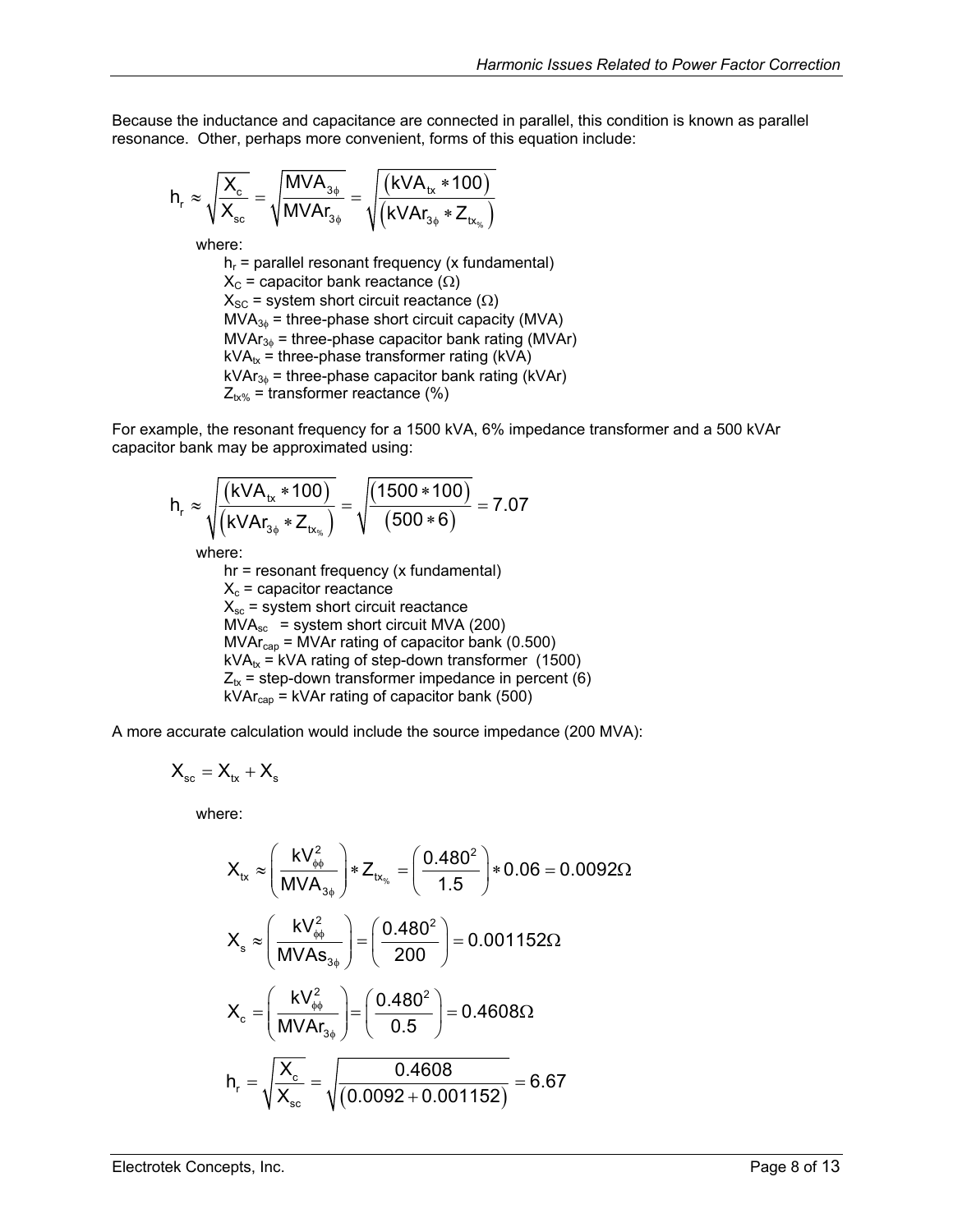Because the inductance and capacitance are connected in parallel, this condition is known as parallel resonance. Other, perhaps more convenient, forms of this equation include:

$$
h_r \approx \sqrt{\frac{X_c}{X_{sc}}} = \sqrt{\frac{MVA_{3\phi}}{MVAr_{3\phi}}} = \sqrt{\frac{\left(kVA_{tx}*100\right)}{\left(kVAr_{3\phi}*Z_{tx_{\%}}\right)}}
$$

where:

 $h_r$  = parallel resonant frequency (x fundamental)  $X_C$  = capacitor bank reactance ( $\Omega$ )  $X_{SC}$  = system short circuit reactance ( $\Omega$ )  $MVA<sub>3φ</sub>$  = three-phase short circuit capacity (MVA)  $MVar_{3\phi}$  = three-phase capacitor bank rating (MVAr)  $kVA_{tx}$  = three-phase transformer rating (kVA)  $kVAr_{3\phi}$  = three-phase capacitor bank rating (kVAr)  $Z_{tx\%}$  = transformer reactance (%)

For example, the resonant frequency for a 1500 kVA, 6% impedance transformer and a 500 kVAr capacitor bank may be approximated using:

$$
h_r \approx \sqrt{\frac{(kVA_{tx}*100)}{(kVAr_{3\phi}*Z_{tx_{\psi_s}})}} = \sqrt{\frac{(1500*100)}{(500*6)}} = 7.07
$$
  
where:

hr = resonant frequency (x fundamental)  $X_c$  = capacitor reactance  $X_{sc}$  = system short circuit reactance  $MVA<sub>sc</sub>$  = system short circuit MVA (200)  $MVar<sub>can</sub> = MVAr rating of capacitor bank (0.500)$  $kVA_{tx}$  = kVA rating of step-down transformer (1500)  $Z_{tx}$  = step-down transformer impedance in percent (6)  $kVAr_{cap} = kVAr$  rating of capacitor bank (500)

A more accurate calculation would include the source impedance (200 MVA):

$$
X_{sc} = X_{tx} + X_s
$$

where:

$$
X_{tx} \approx \left(\frac{kV_{\phi\phi}^2}{MVA_{3\phi}}\right) * Z_{tx_{\phi s}} = \left(\frac{0.480^2}{1.5}\right) * 0.06 = 0.0092\Omega
$$
\n
$$
X_{s} \approx \left(\frac{kV_{\phi\phi}^2}{MVAs_{3\phi}}\right) = \left(\frac{0.480^2}{200}\right) = 0.001152\Omega
$$
\n
$$
X_{c} = \left(\frac{kV_{\phi\phi}^2}{MVAr_{3\phi}}\right) = \left(\frac{0.480^2}{0.5}\right) = 0.4608\Omega
$$
\n
$$
h_{r} = \sqrt{\frac{X_{c}}{X_{sc}}} = \sqrt{\frac{0.4608}{(0.0092 + 0.001152)}} = 6.67
$$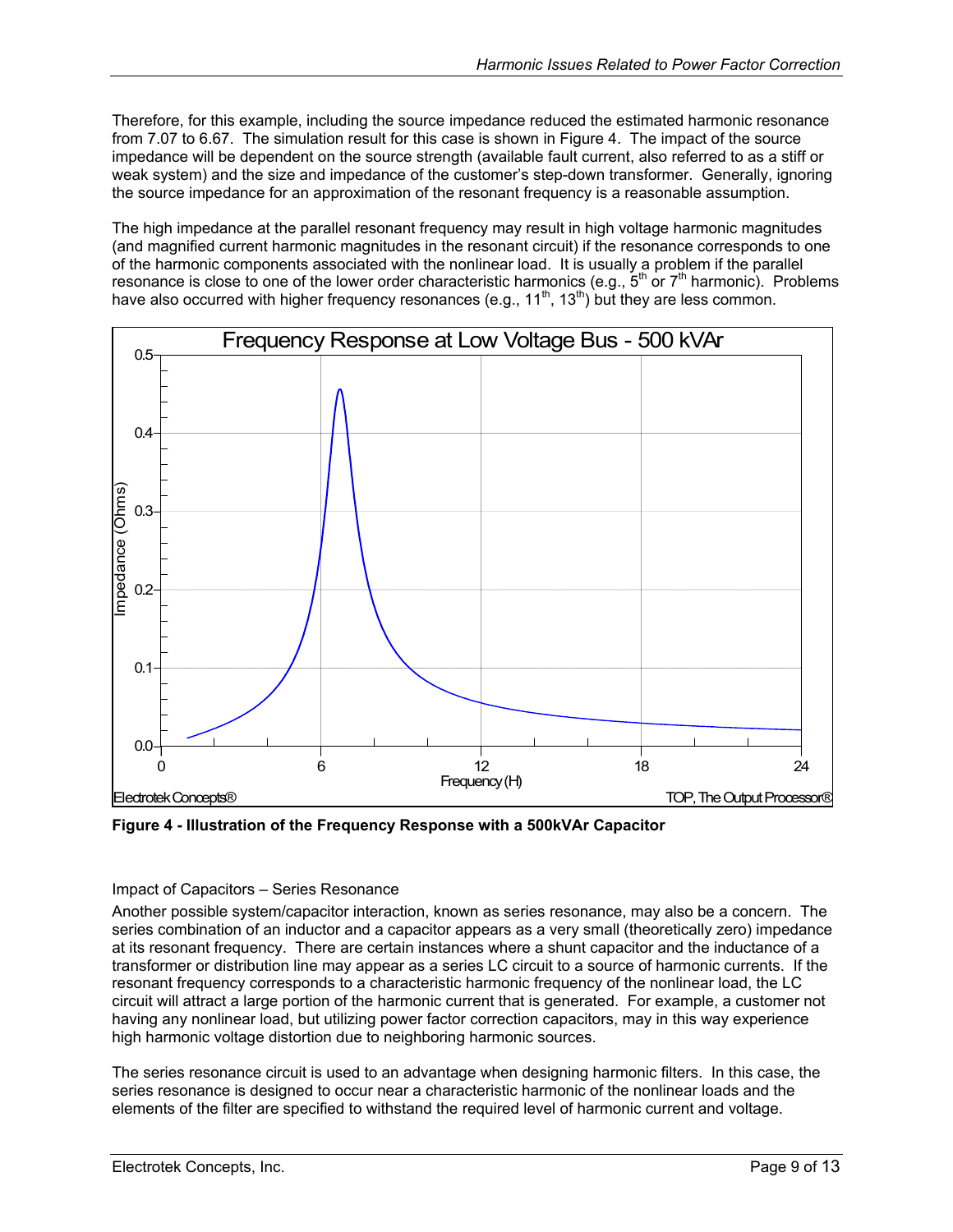<span id="page-8-0"></span>Therefore, for this example, including the source impedance reduced the estimated harmonic resonance from 7.07 to 6.67. The simulation result for this case is shown in [Figure 4.](#page-8-1) The impact of the source impedance will be dependent on the source strength (available fault current, also referred to as a stiff or weak system) and the size and impedance of the customer's step-down transformer. Generally, ignoring the source impedance for an approximation of the resonant frequency is a reasonable assumption.

The high impedance at the parallel resonant frequency may result in high voltage harmonic magnitudes (and magnified current harmonic magnitudes in the resonant circuit) if the resonance corresponds to one of the harmonic components associated with the nonlinear load. It is usually a problem if the parallel resonance is close to one of the lower order characteristic harmonics (e.g.,  $5^{th}$  or  $7^{th}$  harmonic). Problems have also occurred with higher frequency resonances (e.g., 11<sup>th</sup>, 13<sup>th</sup>) but they are less common.

<span id="page-8-1"></span>

**Figure 4 - Illustration of the Frequency Response with a 500kVAr Capacitor** 

#### Impact of Capacitors – Series Resonance

Another possible system/capacitor interaction, known as series resonance, may also be a concern. The series combination of an inductor and a capacitor appears as a very small (theoretically zero) impedance at its resonant frequency. There are certain instances where a shunt capacitor and the inductance of a transformer or distribution line may appear as a series LC circuit to a source of harmonic currents. If the resonant frequency corresponds to a characteristic harmonic frequency of the nonlinear load, the LC circuit will attract a large portion of the harmonic current that is generated. For example, a customer not having any nonlinear load, but utilizing power factor correction capacitors, may in this way experience high harmonic voltage distortion due to neighboring harmonic sources.

The series resonance circuit is used to an advantage when designing harmonic filters. In this case, the series resonance is designed to occur near a characteristic harmonic of the nonlinear loads and the elements of the filter are specified to withstand the required level of harmonic current and voltage.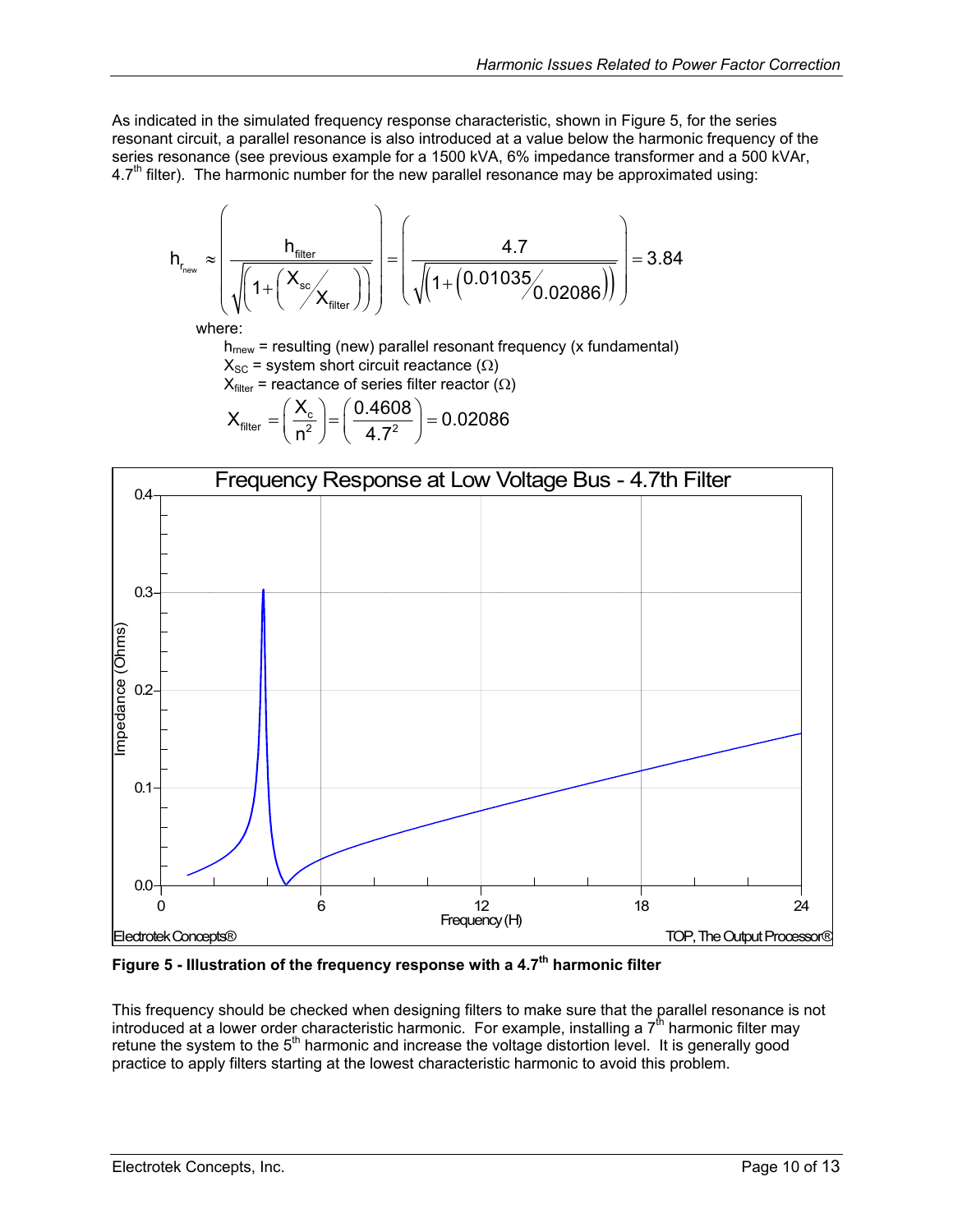<span id="page-9-0"></span>As indicated in the simulated frequency response characteristic, shown in [Figure 5,](#page-9-1) for the series resonant circuit, a parallel resonance is also introduced at a value below the harmonic frequency of the series resonance (see previous example for a 1500 kVA, 6% impedance transformer and a 500 kVAr,  $4.7<sup>th</sup>$  filter). The harmonic number for the new parallel resonance may be approximated using:

$$
h_{r_{\text{new}}} \approx \left(\frac{h_{\text{filter}}}{\sqrt{\left(1 + \left(\frac{X_{\text{sc}}}{X_{\text{filter}}}\right)\right)}}\right) = \left(\frac{4.7}{\sqrt{\left(1 + \left(0.01035/0.02086\right)\right)}}\right) = 3.84
$$

where:

 $h_{\text{mew}}$  = resulting (new) parallel resonant frequency (x fundamental)

 $X_{SC}$  = system short circuit reactance ( $\Omega$ )

 $X_{filter}$  = reactance of series filter reactor ( $\Omega$ )

$$
X_{\text{filter}} = \left(\frac{X_{\text{c}}}{n^2}\right) = \left(\frac{0.4608}{4.7^2}\right) = 0.02086
$$

<span id="page-9-1"></span>

Figure 5 - Illustration of the frequency response with a 4.7<sup>th</sup> harmonic filter

This frequency should be checked when designing filters to make sure that the parallel resonance is not introduced at a lower order characteristic harmonic. For example, installing a 7<sup>th</sup> harmonic filter may retune the system to the 5<sup>th</sup> harmonic and increase the voltage distortion level. It is generally good practice to apply filters starting at the lowest characteristic harmonic to avoid this problem.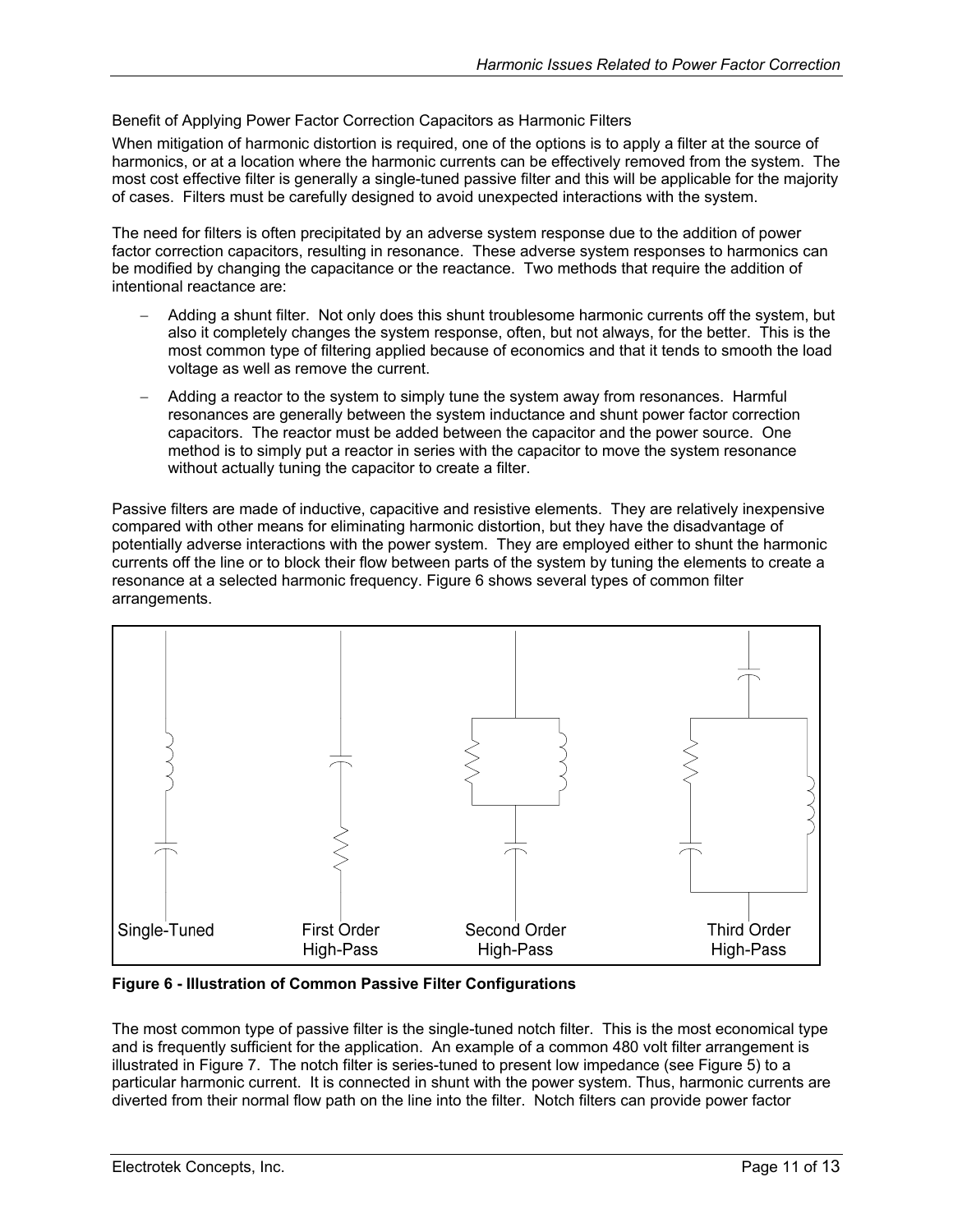<span id="page-10-0"></span>Benefit of Applying Power Factor Correction Capacitors as Harmonic Filters

When mitigation of harmonic distortion is required, one of the options is to apply a filter at the source of harmonics, or at a location where the harmonic currents can be effectively removed from the system. The most cost effective filter is generally a single-tuned passive filter and this will be applicable for the majority of cases. Filters must be carefully designed to avoid unexpected interactions with the system.

The need for filters is often precipitated by an adverse system response due to the addition of power factor correction capacitors, resulting in resonance. These adverse system responses to harmonics can be modified by changing the capacitance or the reactance. Two methods that require the addition of intentional reactance are:

- − Adding a shunt filter. Not only does this shunt troublesome harmonic currents off the system, but also it completely changes the system response, often, but not always, for the better. This is the most common type of filtering applied because of economics and that it tends to smooth the load voltage as well as remove the current.
- Adding a reactor to the system to simply tune the system away from resonances. Harmful resonances are generally between the system inductance and shunt power factor correction capacitors. The reactor must be added between the capacitor and the power source. One method is to simply put a reactor in series with the capacitor to move the system resonance without actually tuning the capacitor to create a filter.

Passive filters are made of inductive, capacitive and resistive elements. They are relatively inexpensive compared with other means for eliminating harmonic distortion, but they have the disadvantage of potentially adverse interactions with the power system. They are employed either to shunt the harmonic currents off the line or to block their flow between parts of the system by tuning the elements to create a resonance at a selected harmonic frequency. [Figure 6](#page-10-1) shows several types of common filter arrangements.

<span id="page-10-1"></span>

**Figure 6 - Illustration of Common Passive Filter Configurations** 

The most common type of passive filter is the single-tuned notch filter. This is the most economical type and is frequently sufficient for the application. An example of a common 480 volt filter arrangement is illustrated in [Figure 7.](#page-11-1) The notch filter is series-tuned to present low impedance (see [Figure 5\)](#page-9-1) to a particular harmonic current. It is connected in shunt with the power system. Thus, harmonic currents are diverted from their normal flow path on the line into the filter. Notch filters can provide power factor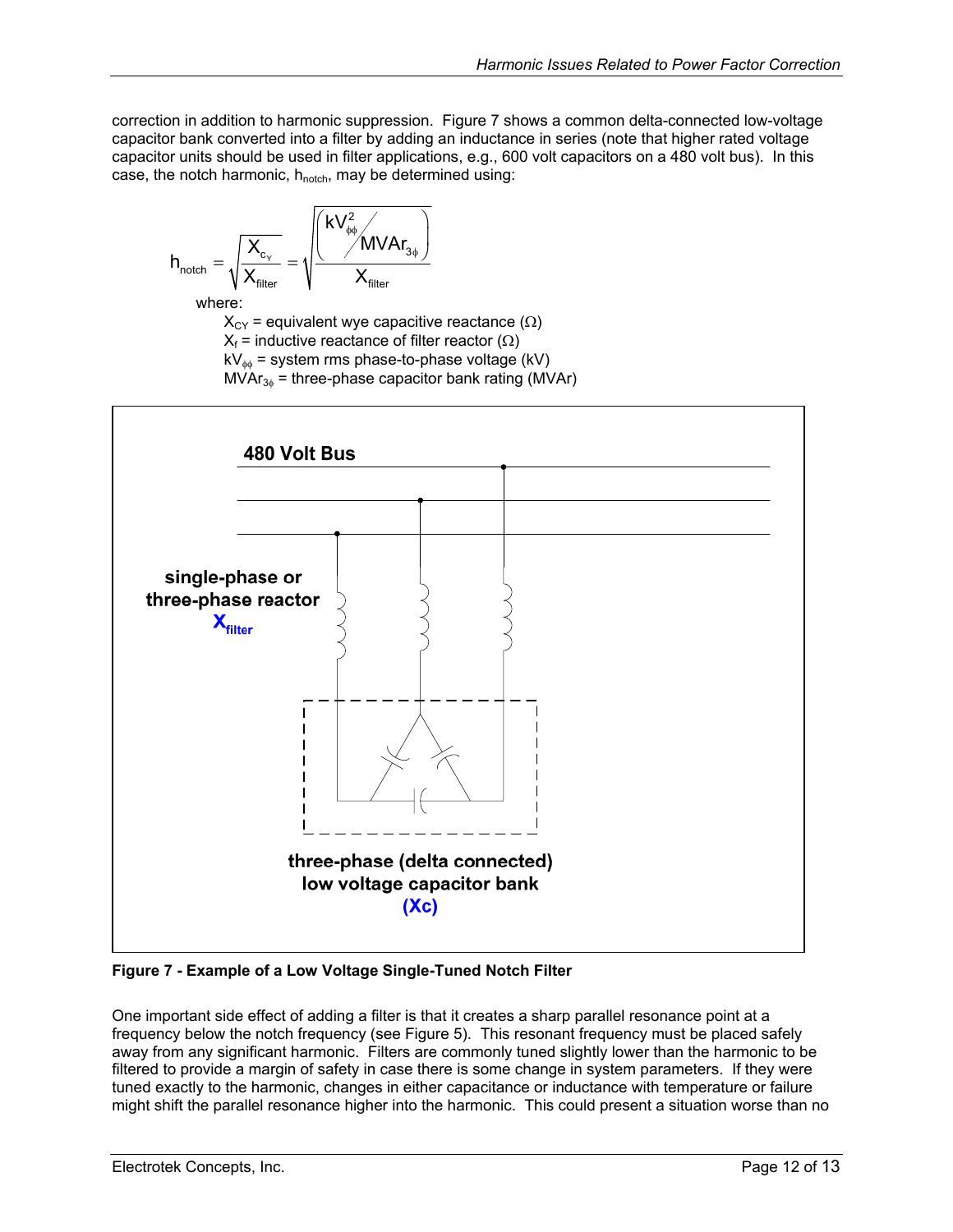<span id="page-11-0"></span>correction in addition to harmonic suppression. [Figure 7](#page-11-1) shows a common delta-connected low-voltage capacitor bank converted into a filter by adding an inductance in series (note that higher rated voltage capacitor units should be used in filter applications, e.g., 600 volt capacitors on a 480 volt bus). In this case, the notch harmonic,  $h_{\text{notch}}$ , may be determined using:

$$
h_{\text{notch}} = \sqrt{\frac{X_{\text{c}_{\text{y}}}}{X_{\text{filter}}}} = \sqrt{\frac{\left(\frac{kV_{\text{p}\varphi}^2}{MVAr_{\text{3}\varphi}}\right)}{X_{\text{filter}}}}
$$

where:

 $X_{CY}$  = equivalent wye capacitive reactance ( $\Omega$ )

 $X_f$  = inductive reactance of filter reactor ( $\Omega$ )

 $kV_{\phi\phi}$  = system rms phase-to-phase voltage (kV)

 $MVar_{3\phi}$  = three-phase capacitor bank rating (MVAr)

<span id="page-11-1"></span>

**Figure 7 - Example of a Low Voltage Single-Tuned Notch Filter**

One important side effect of adding a filter is that it creates a sharp parallel resonance point at a frequency below the notch frequency (see [Figure 5\)](#page-9-1). This resonant frequency must be placed safely away from any significant harmonic. Filters are commonly tuned slightly lower than the harmonic to be filtered to provide a margin of safety in case there is some change in system parameters. If they were tuned exactly to the harmonic, changes in either capacitance or inductance with temperature or failure might shift the parallel resonance higher into the harmonic. This could present a situation worse than no